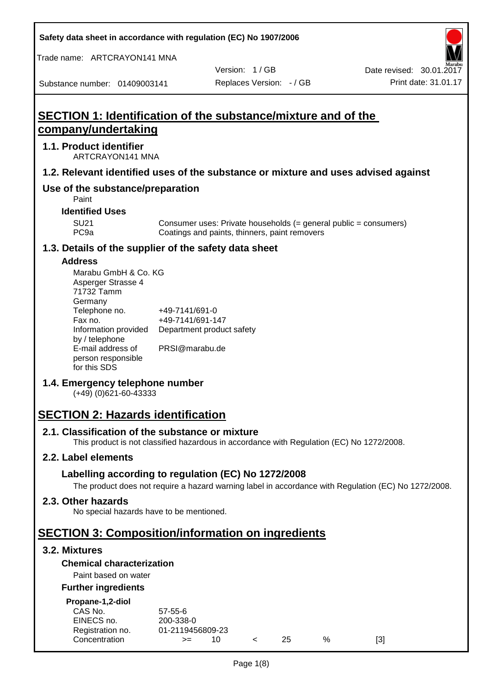**Safety data sheet in accordance with regulation (EC) No 1907/2006**

Trade name: ARTCRAYON141 MNA

Substance number: 01409003141

Version: 1 / GB

# **SECTION 1: Identification of the substance/mixture and of the company/undertaking**

# **1.1. Product identifier**

ARTCRAYON141 MNA

# **1.2. Relevant identified uses of the substance or mixture and uses advised against**

# **Use of the substance/preparation**

Paint

#### **Identified Uses**

SU21 Consumer uses: Private households (= general public = consumers)<br>PC9a Coatings and paints, thinners, paint removers Coatings and paints, thinners, paint removers

#### **1.3. Details of the supplier of the safety data sheet**

#### **Address**

| Marabu GmbH & Co. KG |                           |
|----------------------|---------------------------|
| Asperger Strasse 4   |                           |
| 71732 Tamm           |                           |
| Germany              |                           |
| Telephone no.        | +49-7141/691-0            |
| Fax no.              | +49-7141/691-147          |
| Information provided | Department product safety |
| by / telephone       |                           |
| E-mail address of    | PRSI@marabu.de            |
| person responsible   |                           |
| for this SDS         |                           |

# **1.4. Emergency telephone number**

(+49) (0)621-60-43333

# **SECTION 2: Hazards identification**

#### **2.1. Classification of the substance or mixture**

This product is not classified hazardous in accordance with Regulation (EC) No 1272/2008.

# **2.2. Label elements**

# **Labelling according to regulation (EC) No 1272/2008**

The product does not require a hazard warning label in accordance with Regulation (EC) No 1272/2008.

#### **2.3. Other hazards**

No special hazards have to be mentioned.

# **SECTION 3: Composition/information on ingredients**

# **3.2. Mixtures**

# **Chemical characterization**

# Paint based on water

#### **Further ingredients**

| Propane-1,2-diol |  |
|------------------|--|
|                  |  |

| CAS No.          | $57 - 55 - 6$    |     |     |   |     |
|------------------|------------------|-----|-----|---|-----|
| EINECS no.       | 200-338-0        |     |     |   |     |
| Registration no. | 01-2119456809-23 |     |     |   |     |
| Concentration    | $>=$             | 10. | 25. | % | [3] |
|                  |                  |     |     |   |     |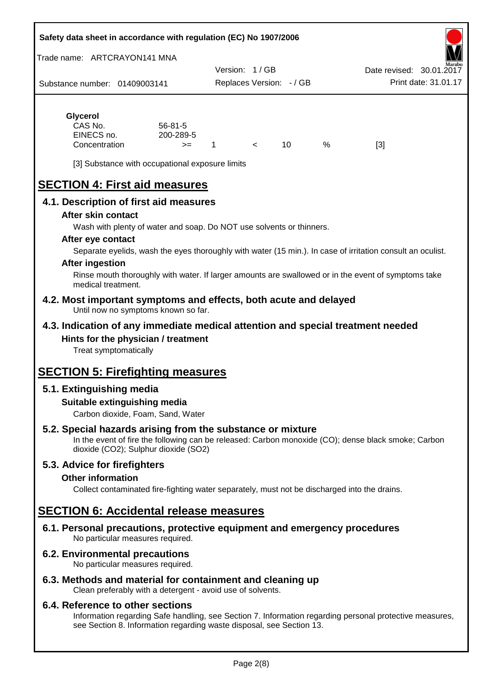#### **Safety data sheet in accordance with regulation (EC) No 1907/2006**

Trade name: ARTCRAYON141 MNA

Substance number: 01409003141 Version: 1 / GB Replaces Version: - / GB Print date: 31.01.17 Date revised: 30.01.2

# **Glycerol**

| CAS No.       | $56 - 81 - 5$ |  |   |     |
|---------------|---------------|--|---|-----|
| EINECS no.    | 200-289-5     |  |   |     |
| Concentration | $>=$          |  | % | [3] |

[3] Substance with occupational exposure limits

# **SECTION 4: First aid measures**

# **4.1. Description of first aid measures**

#### **After skin contact**

Wash with plenty of water and soap. Do NOT use solvents or thinners.

#### **After eye contact**

Separate eyelids, wash the eyes thoroughly with water (15 min.). In case of irritation consult an oculist.

#### **After ingestion**

Rinse mouth thoroughly with water. If larger amounts are swallowed or in the event of symptoms take medical treatment.

#### **4.2. Most important symptoms and effects, both acute and delayed** Until now no symptoms known so far.

# **4.3. Indication of any immediate medical attention and special treatment needed Hints for the physician / treatment**

Treat symptomatically

# **SECTION 5: Firefighting measures**

# **5.1. Extinguishing media**

# **Suitable extinguishing media**

Carbon dioxide, Foam, Sand, Water

# **5.2. Special hazards arising from the substance or mixture**

In the event of fire the following can be released: Carbon monoxide (CO); dense black smoke; Carbon dioxide (CO2); Sulphur dioxide (SO2)

# **5.3. Advice for firefighters**

#### **Other information**

Collect contaminated fire-fighting water separately, must not be discharged into the drains.

# **SECTION 6: Accidental release measures**

**6.1. Personal precautions, protective equipment and emergency procedures** No particular measures required.

# **6.2. Environmental precautions**

No particular measures required.

# **6.3. Methods and material for containment and cleaning up**

Clean preferably with a detergent - avoid use of solvents.

#### **6.4. Reference to other sections**

Information regarding Safe handling, see Section 7. Information regarding personal protective measures, see Section 8. Information regarding waste disposal, see Section 13.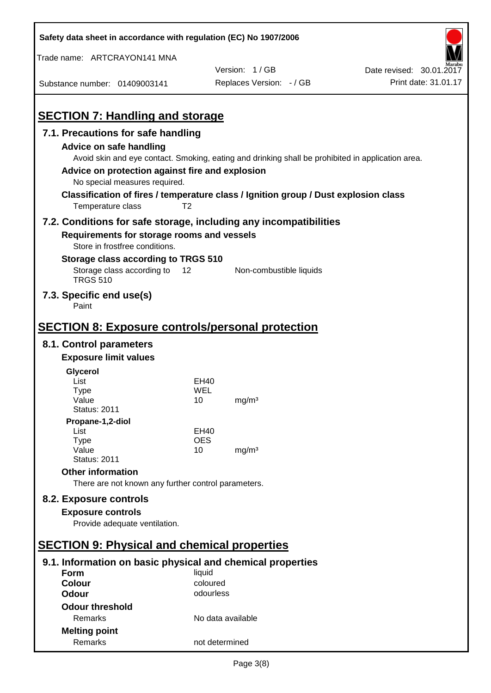| Safety data sheet in accordance with regulation (EC) No 1907/2006                                                                                                                                                                                                                                                                                                  |                   |                          |                          |
|--------------------------------------------------------------------------------------------------------------------------------------------------------------------------------------------------------------------------------------------------------------------------------------------------------------------------------------------------------------------|-------------------|--------------------------|--------------------------|
| Trade name: ARTCRAYON141 MNA                                                                                                                                                                                                                                                                                                                                       |                   |                          |                          |
|                                                                                                                                                                                                                                                                                                                                                                    |                   | Version: 1/GB            | Date revised: 30.01.2017 |
| Substance number: 01409003141                                                                                                                                                                                                                                                                                                                                      |                   | Replaces Version: - / GB | Print date: 31.01.17     |
| <b>SECTION 7: Handling and storage</b>                                                                                                                                                                                                                                                                                                                             |                   |                          |                          |
| 7.1. Precautions for safe handling<br>Advice on safe handling<br>Avoid skin and eye contact. Smoking, eating and drinking shall be prohibited in application area.<br>Advice on protection against fire and explosion<br>No special measures required.<br>Classification of fires / temperature class / Ignition group / Dust explosion class<br>Temperature class | T <sub>2</sub>    |                          |                          |
| 7.2. Conditions for safe storage, including any incompatibilities<br>Requirements for storage rooms and vessels<br>Store in frostfree conditions.                                                                                                                                                                                                                  |                   |                          |                          |
| Storage class according to TRGS 510<br>Storage class according to<br><b>TRGS 510</b>                                                                                                                                                                                                                                                                               | 12                | Non-combustible liquids  |                          |
| 7.3. Specific end use(s)<br>Paint                                                                                                                                                                                                                                                                                                                                  |                   |                          |                          |
| <u><b>SECTION 8: Exposure controls/personal protection</b></u>                                                                                                                                                                                                                                                                                                     |                   |                          |                          |
| 8.1. Control parameters                                                                                                                                                                                                                                                                                                                                            |                   |                          |                          |
| <b>Exposure limit values</b>                                                                                                                                                                                                                                                                                                                                       |                   |                          |                          |
| Glycerol                                                                                                                                                                                                                                                                                                                                                           |                   |                          |                          |
| List                                                                                                                                                                                                                                                                                                                                                               | EH40<br>WEL       |                          |                          |
| Type<br>Value                                                                                                                                                                                                                                                                                                                                                      | 10                | mg/m <sup>3</sup>        |                          |
| <b>Status: 2011</b>                                                                                                                                                                                                                                                                                                                                                |                   |                          |                          |
| Propane-1,2-diol                                                                                                                                                                                                                                                                                                                                                   |                   |                          |                          |
| List                                                                                                                                                                                                                                                                                                                                                               | EH40              |                          |                          |
| <b>Type</b><br>Value                                                                                                                                                                                                                                                                                                                                               | <b>OES</b><br>10  | mg/m <sup>3</sup>        |                          |
| <b>Status: 2011</b>                                                                                                                                                                                                                                                                                                                                                |                   |                          |                          |
| <b>Other information</b>                                                                                                                                                                                                                                                                                                                                           |                   |                          |                          |
| There are not known any further control parameters.                                                                                                                                                                                                                                                                                                                |                   |                          |                          |
| 8.2. Exposure controls                                                                                                                                                                                                                                                                                                                                             |                   |                          |                          |
| <b>Exposure controls</b>                                                                                                                                                                                                                                                                                                                                           |                   |                          |                          |
| Provide adequate ventilation.                                                                                                                                                                                                                                                                                                                                      |                   |                          |                          |
| <b>SECTION 9: Physical and chemical properties</b>                                                                                                                                                                                                                                                                                                                 |                   |                          |                          |
| 9.1. Information on basic physical and chemical properties                                                                                                                                                                                                                                                                                                         |                   |                          |                          |
| <b>Form</b>                                                                                                                                                                                                                                                                                                                                                        | liquid            |                          |                          |
| <b>Colour</b>                                                                                                                                                                                                                                                                                                                                                      | coloured          |                          |                          |
| <b>Odour</b>                                                                                                                                                                                                                                                                                                                                                       | odourless         |                          |                          |
| <b>Odour threshold</b>                                                                                                                                                                                                                                                                                                                                             |                   |                          |                          |
| Remarks                                                                                                                                                                                                                                                                                                                                                            | No data available |                          |                          |
| <b>Melting point</b>                                                                                                                                                                                                                                                                                                                                               |                   |                          |                          |
| Remarks                                                                                                                                                                                                                                                                                                                                                            | not determined    |                          |                          |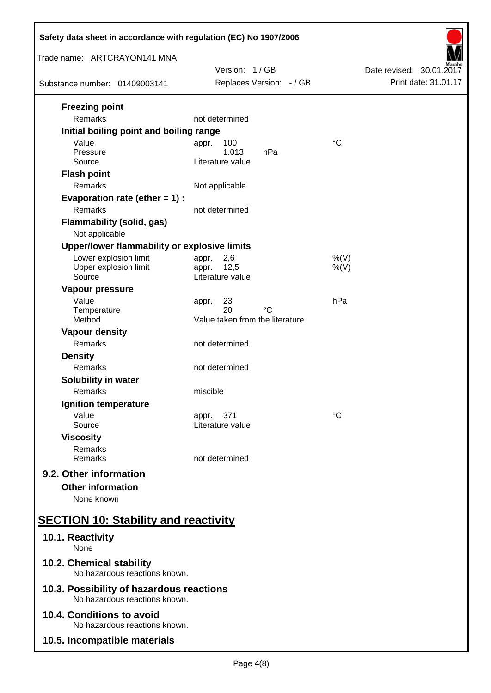| Safety data sheet in accordance with regulation (EC) No 1907/2006                                             |                                                            |                          |
|---------------------------------------------------------------------------------------------------------------|------------------------------------------------------------|--------------------------|
| Trade name: ARTCRAYON141 MNA                                                                                  | Version: 1/GB                                              | Date revised: 30.01.2017 |
| Substance number: 01409003141                                                                                 | Replaces Version: - / GB                                   | Print date: 31.01.17     |
| <b>Freezing point</b><br><b>Remarks</b><br>Initial boiling point and boiling range<br>Value<br>Pressure       | not determined<br>100<br>appr.<br>1.013<br>hPa             | $\rm ^{\circ}C$          |
| Source<br><b>Flash point</b><br>Remarks<br>Evaporation rate (ether $= 1$ ) :                                  | Literature value<br>Not applicable                         |                          |
| Remarks<br><b>Flammability (solid, gas)</b><br>Not applicable<br>Upper/lower flammability or explosive limits | not determined                                             |                          |
| Lower explosion limit<br>Upper explosion limit<br>Source<br>Vapour pressure                                   | 2,6<br>appr.<br>12,5<br>appr.<br>Literature value          | $%$ (V)<br>$%$ (V)       |
| Value<br>Temperature<br>Method<br><b>Vapour density</b>                                                       | 23<br>appr.<br>20<br>°C<br>Value taken from the literature | hPa                      |
| Remarks<br><b>Density</b><br>Remarks<br>Solubility in water<br>Remarks                                        | not determined<br>not determined<br>miscible               |                          |
| Ignition temperature<br>Value<br>Source<br><b>Viscosity</b><br>Remarks                                        | 371<br>appr.<br>Literature value                           | °C                       |
| Remarks<br>9.2. Other information<br><b>Other information</b><br>None known                                   | not determined                                             |                          |
| <b>SECTION 10: Stability and reactivity</b>                                                                   |                                                            |                          |
| 10.1. Reactivity<br>None                                                                                      |                                                            |                          |
| 10.2. Chemical stability<br>No hazardous reactions known.                                                     |                                                            |                          |
| 10.3. Possibility of hazardous reactions<br>No hazardous reactions known.                                     |                                                            |                          |
| 10.4. Conditions to avoid<br>No hazardous reactions known.                                                    |                                                            |                          |
| 10.5. Incompatible materials                                                                                  |                                                            |                          |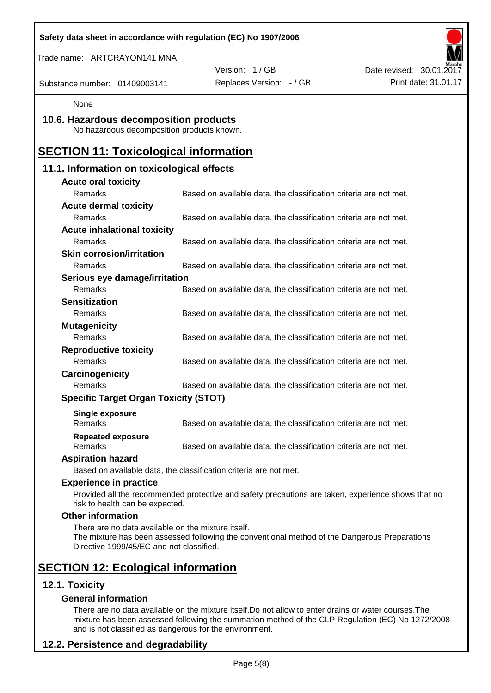| Safety data sheet in accordance with regulation (EC) No 1907/2006                              |                                                                                                    |                          |
|------------------------------------------------------------------------------------------------|----------------------------------------------------------------------------------------------------|--------------------------|
| Trade name: ARTCRAYON141 MNA                                                                   |                                                                                                    |                          |
|                                                                                                | Version: 1/GB                                                                                      | Date revised: 30.01.2017 |
| Substance number: 01409003141                                                                  | Replaces Version: - / GB                                                                           | Print date: 31.01.17     |
| None                                                                                           |                                                                                                    |                          |
| 10.6. Hazardous decomposition products<br>No hazardous decomposition products known.           |                                                                                                    |                          |
| <b>SECTION 11: Toxicological information</b>                                                   |                                                                                                    |                          |
| 11.1. Information on toxicological effects                                                     |                                                                                                    |                          |
| <b>Acute oral toxicity</b>                                                                     |                                                                                                    |                          |
| Remarks                                                                                        | Based on available data, the classification criteria are not met.                                  |                          |
| <b>Acute dermal toxicity</b>                                                                   |                                                                                                    |                          |
| Remarks                                                                                        | Based on available data, the classification criteria are not met.                                  |                          |
| <b>Acute inhalational toxicity</b>                                                             |                                                                                                    |                          |
| Remarks                                                                                        | Based on available data, the classification criteria are not met.                                  |                          |
| <b>Skin corrosion/irritation</b>                                                               |                                                                                                    |                          |
| Remarks                                                                                        | Based on available data, the classification criteria are not met.                                  |                          |
| Serious eye damage/irritation                                                                  |                                                                                                    |                          |
| Remarks                                                                                        | Based on available data, the classification criteria are not met.                                  |                          |
| <b>Sensitization</b>                                                                           |                                                                                                    |                          |
| Remarks                                                                                        | Based on available data, the classification criteria are not met.                                  |                          |
| <b>Mutagenicity</b><br>Remarks                                                                 |                                                                                                    |                          |
|                                                                                                | Based on available data, the classification criteria are not met.                                  |                          |
| <b>Reproductive toxicity</b><br>Remarks                                                        |                                                                                                    |                          |
|                                                                                                | Based on available data, the classification criteria are not met.                                  |                          |
| Carcinogenicity                                                                                |                                                                                                    |                          |
| Remarks                                                                                        | Based on available data, the classification criteria are not met.                                  |                          |
| <b>Specific Target Organ Toxicity (STOT)</b>                                                   |                                                                                                    |                          |
| <b>Single exposure</b><br>Remarks                                                              | Based on available data, the classification criteria are not met.                                  |                          |
| <b>Repeated exposure</b><br>Remarks                                                            | Based on available data, the classification criteria are not met.                                  |                          |
| <b>Aspiration hazard</b>                                                                       |                                                                                                    |                          |
|                                                                                                | Based on available data, the classification criteria are not met.                                  |                          |
| <b>Experience in practice</b>                                                                  |                                                                                                    |                          |
| risk to health can be expected.                                                                | Provided all the recommended protective and safety precautions are taken, experience shows that no |                          |
| <b>Other information</b>                                                                       |                                                                                                    |                          |
| There are no data available on the mixture itself.<br>Directive 1999/45/EC and not classified. | The mixture has been assessed following the conventional method of the Dangerous Preparations      |                          |
| <b>SECTION 12: Ecological information</b>                                                      |                                                                                                    |                          |
| 12.1. Toxicity                                                                                 |                                                                                                    |                          |
| <b>General information</b>                                                                     |                                                                                                    |                          |

There are no data available on the mixture itself.Do not allow to enter drains or water courses.The mixture has been assessed following the summation method of the CLP Regulation (EC) No 1272/2008 and is not classified as dangerous for the environment.

# **12.2. Persistence and degradability**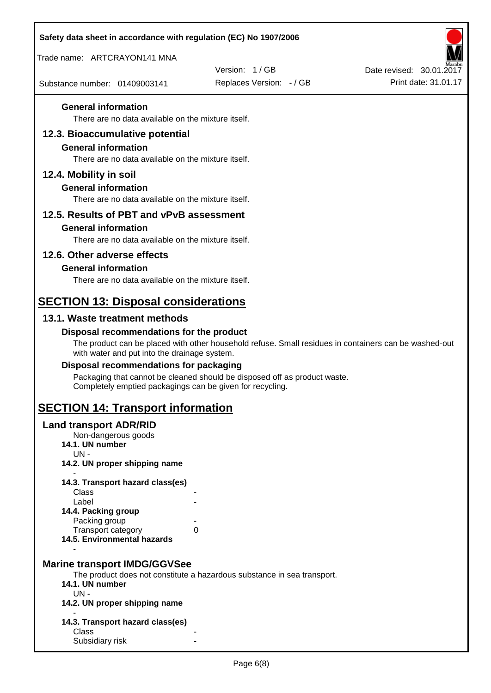| Safety data sheet in accordance with regulation (EC) No 1907/2006                |                                                                                                       |                                                  |
|----------------------------------------------------------------------------------|-------------------------------------------------------------------------------------------------------|--------------------------------------------------|
| Trade name: ARTCRAYON141 MNA                                                     |                                                                                                       |                                                  |
|                                                                                  | Version: 1/GB                                                                                         | Date revised: 30.01.2017<br>Print date: 31.01.17 |
| Substance number: 01409003141                                                    | Replaces Version: - / GB                                                                              |                                                  |
| <b>General information</b>                                                       |                                                                                                       |                                                  |
| There are no data available on the mixture itself.                               |                                                                                                       |                                                  |
| 12.3. Bioaccumulative potential                                                  |                                                                                                       |                                                  |
| <b>General information</b><br>There are no data available on the mixture itself. |                                                                                                       |                                                  |
| 12.4. Mobility in soil                                                           |                                                                                                       |                                                  |
| <b>General information</b>                                                       |                                                                                                       |                                                  |
| There are no data available on the mixture itself.                               |                                                                                                       |                                                  |
| 12.5. Results of PBT and vPvB assessment                                         |                                                                                                       |                                                  |
| <b>General information</b>                                                       |                                                                                                       |                                                  |
| There are no data available on the mixture itself.                               |                                                                                                       |                                                  |
| 12.6. Other adverse effects                                                      |                                                                                                       |                                                  |
| <b>General information</b><br>There are no data available on the mixture itself. |                                                                                                       |                                                  |
|                                                                                  |                                                                                                       |                                                  |
| <b>SECTION 13: Disposal considerations</b>                                       |                                                                                                       |                                                  |
| 13.1. Waste treatment methods                                                    |                                                                                                       |                                                  |
| Disposal recommendations for the product                                         |                                                                                                       |                                                  |
| with water and put into the drainage system.                                     | The product can be placed with other household refuse. Small residues in containers can be washed-out |                                                  |
| Disposal recommendations for packaging                                           |                                                                                                       |                                                  |
| Completely emptied packagings can be given for recycling.                        | Packaging that cannot be cleaned should be disposed off as product waste.                             |                                                  |
| <b>SECTION 14: Transport information</b>                                         |                                                                                                       |                                                  |
| <b>Land transport ADR/RID</b>                                                    |                                                                                                       |                                                  |
| Non-dangerous goods<br>14.1. UN number                                           |                                                                                                       |                                                  |
| $UN -$<br>14.2. UN proper shipping name                                          |                                                                                                       |                                                  |
|                                                                                  |                                                                                                       |                                                  |
| 14.3. Transport hazard class(es)<br>Class                                        |                                                                                                       |                                                  |
| Label                                                                            |                                                                                                       |                                                  |
| 14.4. Packing group<br>Packing group                                             |                                                                                                       |                                                  |
| <b>Transport category</b><br>14.5. Environmental hazards                         | 0                                                                                                     |                                                  |
|                                                                                  |                                                                                                       |                                                  |
| <b>Marine transport IMDG/GGVSee</b>                                              |                                                                                                       |                                                  |
| 14.1. UN number                                                                  | The product does not constitute a hazardous substance in sea transport.                               |                                                  |
| $UN -$                                                                           |                                                                                                       |                                                  |
| 14.2. UN proper shipping name                                                    |                                                                                                       |                                                  |
| 14.3. Transport hazard class(es)                                                 |                                                                                                       |                                                  |
| Class<br>Subsidiary risk                                                         |                                                                                                       |                                                  |
|                                                                                  |                                                                                                       |                                                  |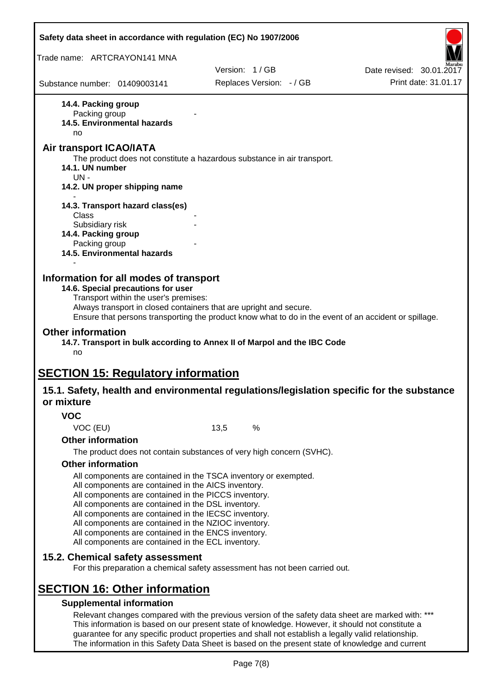| Safety data sheet in accordance with regulation (EC) No 1907/2006                                                                                                                                                                                                                                                                                                                                                                                                 |      |                          |                          |
|-------------------------------------------------------------------------------------------------------------------------------------------------------------------------------------------------------------------------------------------------------------------------------------------------------------------------------------------------------------------------------------------------------------------------------------------------------------------|------|--------------------------|--------------------------|
| Trade name: ARTCRAYON141 MNA                                                                                                                                                                                                                                                                                                                                                                                                                                      |      | Version: 1/GB            | Date revised: 30.01.2017 |
| Substance number: 01409003141                                                                                                                                                                                                                                                                                                                                                                                                                                     |      | Replaces Version: - / GB | Print date: 31.01.17     |
| 14.4. Packing group<br>Packing group<br>14.5. Environmental hazards<br>no                                                                                                                                                                                                                                                                                                                                                                                         |      |                          |                          |
| Air transport ICAO/IATA<br>The product does not constitute a hazardous substance in air transport.<br>14.1. UN number<br>UN-<br>14.2. UN proper shipping name                                                                                                                                                                                                                                                                                                     |      |                          |                          |
| 14.3. Transport hazard class(es)<br>Class<br>Subsidiary risk<br>14.4. Packing group<br>Packing group<br>14.5. Environmental hazards                                                                                                                                                                                                                                                                                                                               |      |                          |                          |
| Information for all modes of transport<br>14.6. Special precautions for user<br>Transport within the user's premises:<br>Always transport in closed containers that are upright and secure.<br>Ensure that persons transporting the product know what to do in the event of an accident or spillage.                                                                                                                                                              |      |                          |                          |
| <b>Other information</b><br>14.7. Transport in bulk according to Annex II of Marpol and the IBC Code<br>no                                                                                                                                                                                                                                                                                                                                                        |      |                          |                          |
| <b>SECTION 15: Regulatory information</b><br>15.1. Safety, health and environmental regulations/legislation specific for the substance<br>or mixture                                                                                                                                                                                                                                                                                                              |      |                          |                          |
| <b>VOC</b><br>VOC (EU)                                                                                                                                                                                                                                                                                                                                                                                                                                            | 13,5 | $\%$                     |                          |
| <b>Other information</b>                                                                                                                                                                                                                                                                                                                                                                                                                                          |      |                          |                          |
| The product does not contain substances of very high concern (SVHC).                                                                                                                                                                                                                                                                                                                                                                                              |      |                          |                          |
| <b>Other information</b>                                                                                                                                                                                                                                                                                                                                                                                                                                          |      |                          |                          |
| All components are contained in the TSCA inventory or exempted.<br>All components are contained in the AICS inventory.<br>All components are contained in the PICCS inventory.<br>All components are contained in the DSL inventory.<br>All components are contained in the IECSC inventory.<br>All components are contained in the NZIOC inventory.<br>All components are contained in the ENCS inventory.<br>All components are contained in the ECL inventory. |      |                          |                          |
| 15.2. Chemical safety assessment                                                                                                                                                                                                                                                                                                                                                                                                                                  |      |                          |                          |
| For this preparation a chemical safety assessment has not been carried out.                                                                                                                                                                                                                                                                                                                                                                                       |      |                          |                          |
| <b>SECTION 16: Other information</b>                                                                                                                                                                                                                                                                                                                                                                                                                              |      |                          |                          |
| <b>Supplemental information</b>                                                                                                                                                                                                                                                                                                                                                                                                                                   |      |                          |                          |
| Relevant changes compared with the previous version of the safety data sheet are marked with: ***<br>This information is based on our present state of knowledge. However, it should not constitute a<br>quarantee for any specific product properties and shall not establish a legally valid relationship                                                                                                                                                       |      |                          |                          |

guarantee for any specific product properties and shall not establish a legally valid relationship. The information in this Safety Data Sheet is based on the present state of knowledge and current